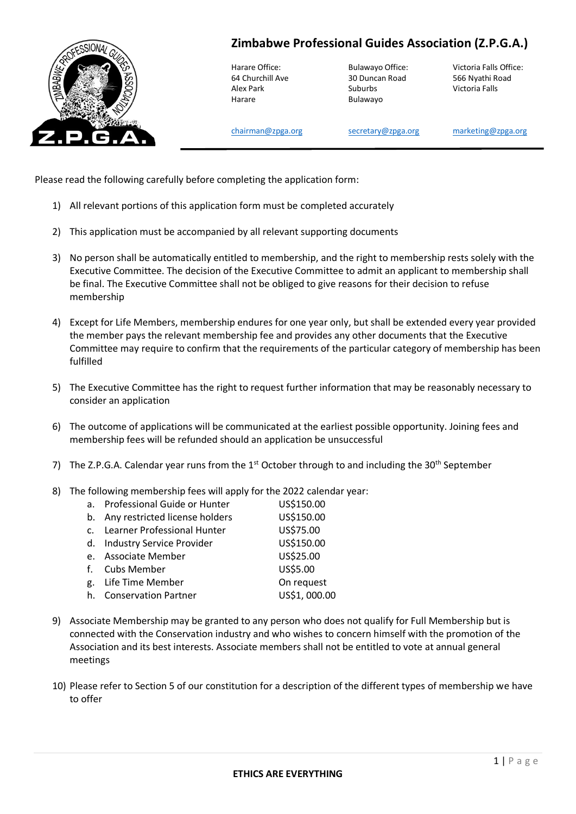

**Zimbabwe Professional Guides Association (Z.P.G.A.)**

Harare **Bulawayo** 

64 Churchill Ave 30 Duncan Road 566 Nyathi Road Alex Park Suburbs Victoria Falls

Harare Office: Bulawayo Office: Victoria Falls Office:

[chairman@zpga.org](mailto:chairman@zpga.org) [secretary@zpga.org](mailto:secretary@zpga.org) [marketing@zpga.org](mailto:marketing@zpga.org)

Please read the following carefully before completing the application form:

- 1) All relevant portions of this application form must be completed accurately
- 2) This application must be accompanied by all relevant supporting documents
- 3) No person shall be automatically entitled to membership, and the right to membership rests solely with the Executive Committee. The decision of the Executive Committee to admit an applicant to membership shall be final. The Executive Committee shall not be obliged to give reasons for their decision to refuse membership
- 4) Except for Life Members, membership endures for one year only, but shall be extended every year provided the member pays the relevant membership fee and provides any other documents that the Executive Committee may require to confirm that the requirements of the particular category of membership has been fulfilled
- 5) The Executive Committee has the right to request further information that may be reasonably necessary to consider an application
- 6) The outcome of applications will be communicated at the earliest possible opportunity. Joining fees and membership fees will be refunded should an application be unsuccessful
- 7) The Z.P.G.A. Calendar year runs from the  $1<sup>st</sup>$  October through to and including the 30<sup>th</sup> September
- 8) The following membership fees will apply for the 2022 calendar year:

| a. Professional Guide or Hunter   | US\$150.00   |
|-----------------------------------|--------------|
| b. Any restricted license holders | US\$150.00   |
| c. Learner Professional Hunter    | US\$75.00    |
| d. Industry Service Provider      | US\$150.00   |
| e. Associate Member               | US\$25.00    |
| f. Cubs Member                    | US\$5.00     |
| g. Life Time Member               | On request   |
| h. Conservation Partner           | US\$1,000.00 |
|                                   |              |

- 9) Associate Membership may be granted to any person who does not qualify for Full Membership but is connected with the Conservation industry and who wishes to concern himself with the promotion of the Association and its best interests. Associate members shall not be entitled to vote at annual general meetings
- 10) Please refer to Section 5 of our constitution for a description of the different types of membership we have to offer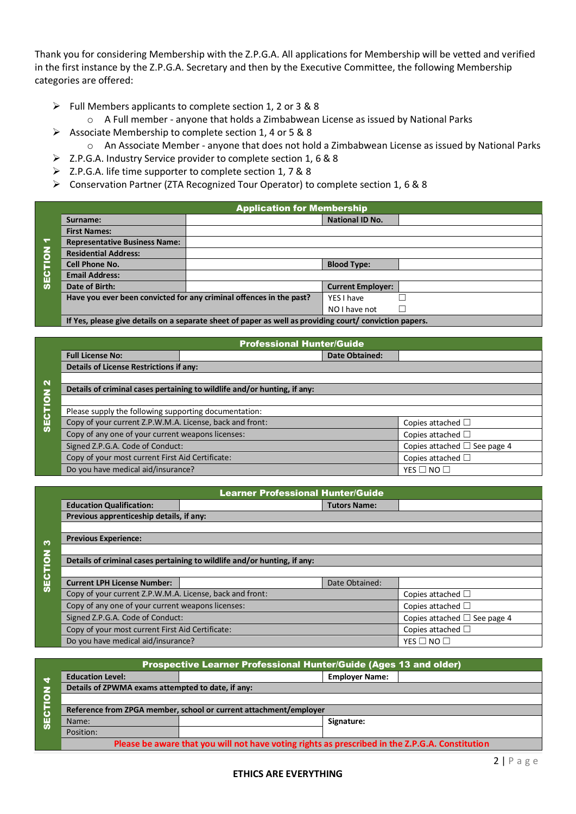Thank you for considering Membership with the Z.P.G.A. All applications for Membership will be vetted and verified in the first instance by the Z.P.G.A. Secretary and then by the Executive Committee, the following Membership categories are offered:

- ➢ Full Members applicants to complete section 1, 2 or 3 & 8
	- o A Full member anyone that holds a Zimbabwean License as issued by National Parks
- ➢ Associate Membership to complete section 1, 4 or 5 & 8
	- o An Associate Member anyone that does not hold a Zimbabwean License as issued by National Parks
- ➢ Z.P.G.A. Industry Service provider to complete section 1, 6 & 8
- ➢ Z.P.G.A. life time supporter to complete section 1, 7 & 8
- ➢ Conservation Partner (ZTA Recognized Tour Operator) to complete section 1, 6 & 8

|                | <b>Application for Membership</b>    |                                                                                                         |                          |  |  |
|----------------|--------------------------------------|---------------------------------------------------------------------------------------------------------|--------------------------|--|--|
|                | Surname:                             |                                                                                                         | <b>National ID No.</b>   |  |  |
|                | <b>First Names:</b>                  |                                                                                                         |                          |  |  |
| ↽              | <b>Representative Business Name:</b> |                                                                                                         |                          |  |  |
| $\overline{6}$ | <b>Residential Address:</b>          |                                                                                                         |                          |  |  |
|                | <b>Cell Phone No.</b>                |                                                                                                         | <b>Blood Type:</b>       |  |  |
| <b>SECTI</b>   | <b>Email Address:</b>                |                                                                                                         |                          |  |  |
|                | Date of Birth:                       |                                                                                                         | <b>Current Employer:</b> |  |  |
|                |                                      | Have you ever been convicted for any criminal offences in the past?                                     | YFS I have               |  |  |
|                |                                      |                                                                                                         | NO I have not            |  |  |
|                |                                      | If Yes, please give details on a separate sheet of paper as well as providing court/ conviction papers. |                          |  |  |

|                   | <b>Professional Hunter/Guide</b>                                         |  |                        |                                   |  |  |
|-------------------|--------------------------------------------------------------------------|--|------------------------|-----------------------------------|--|--|
|                   | <b>Full License No:</b>                                                  |  | <b>Date Obtained:</b>  |                                   |  |  |
|                   | <b>Details of License Restrictions if any:</b>                           |  |                        |                                   |  |  |
| $\mathbf{\Omega}$ |                                                                          |  |                        |                                   |  |  |
|                   | Details of criminal cases pertaining to wildlife and/or hunting, if any: |  |                        |                                   |  |  |
| $\overline{6}$    |                                                                          |  |                        |                                   |  |  |
|                   | Please supply the following supporting documentation:                    |  |                        |                                   |  |  |
| <b>SECTI</b>      | Copy of your current Z.P.W.M.A. License, back and front:                 |  |                        | Copies attached $\Box$            |  |  |
|                   | Copy of any one of your current weapons licenses:                        |  |                        | Copies attached $\Box$            |  |  |
|                   | Signed Z.P.G.A. Code of Conduct:                                         |  |                        | Copies attached $\Box$ See page 4 |  |  |
|                   | Copy of your most current First Aid Certificate:                         |  | Copies attached $\Box$ |                                   |  |  |
|                   | Do you have medical aid/insurance?                                       |  |                        | YES $\Box$ NO $\Box$              |  |  |

|                | <b>Learner Professional Hunter/Guide</b>                                 |                        |                     |                                   |
|----------------|--------------------------------------------------------------------------|------------------------|---------------------|-----------------------------------|
|                | <b>Education Qualification:</b>                                          |                        | <b>Tutors Name:</b> |                                   |
|                | Previous apprenticeship details, if any:                                 |                        |                     |                                   |
|                |                                                                          |                        |                     |                                   |
| n              | <b>Previous Experience:</b>                                              |                        |                     |                                   |
|                |                                                                          |                        |                     |                                   |
|                | Details of criminal cases pertaining to wildlife and/or hunting, if any: |                        |                     |                                   |
| <b>SECTION</b> |                                                                          |                        |                     |                                   |
|                | <b>Current LPH License Number:</b>                                       |                        | Date Obtained:      |                                   |
|                | Copy of your current Z.P.W.M.A. License, back and front:                 |                        |                     | Copies attached $\Box$            |
|                | Copy of any one of your current weapons licenses:                        |                        |                     | Copies attached $\Box$            |
|                | Signed Z.P.G.A. Code of Conduct:                                         |                        |                     | Copies attached $\Box$ See page 4 |
|                | Copy of your most current First Aid Certificate:                         | Copies attached $\Box$ |                     |                                   |
|                | Do you have medical aid/insurance?                                       |                        |                     | YES $\square$ NO $\square$        |

|                         |                                                                                                 | <b>Prospective Learner Professional Hunter/Guide (Ages 13 and older)</b> |                       |  |  |
|-------------------------|-------------------------------------------------------------------------------------------------|--------------------------------------------------------------------------|-----------------------|--|--|
| ₹                       | <b>Education Level:</b>                                                                         |                                                                          | <b>Employer Name:</b> |  |  |
| 2                       | Details of ZPWMA exams attempted to date, if any:                                               |                                                                          |                       |  |  |
| $\overline{\mathbf{C}}$ |                                                                                                 |                                                                          |                       |  |  |
|                         | Reference from ZPGA member, school or current attachment/employer                               |                                                                          |                       |  |  |
| <b>US</b>               | Name:                                                                                           |                                                                          | Signature:            |  |  |
|                         | Position:                                                                                       |                                                                          |                       |  |  |
|                         | Please be aware that you will not have voting rights as prescribed in the Z.P.G.A. Constitution |                                                                          |                       |  |  |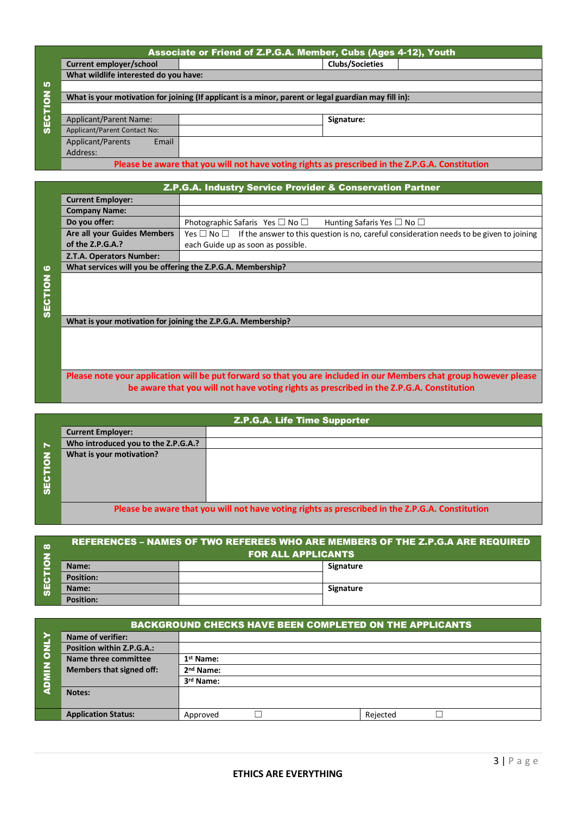|                | Associate or Friend of Z.P.G.A. Member, Cubs (Ages 4-12), Youth                                 |                                                                                                      |  |  |  |  |
|----------------|-------------------------------------------------------------------------------------------------|------------------------------------------------------------------------------------------------------|--|--|--|--|
|                | Current employer/school                                                                         | <b>Clubs/Societies</b>                                                                               |  |  |  |  |
|                | What wildlife interested do you have:                                                           |                                                                                                      |  |  |  |  |
| <b>In</b>      |                                                                                                 |                                                                                                      |  |  |  |  |
| $\overline{6}$ |                                                                                                 | What is your motivation for joining (If applicant is a minor, parent or legal guardian may fill in): |  |  |  |  |
| <b>SECTI</b>   |                                                                                                 |                                                                                                      |  |  |  |  |
|                | <b>Applicant/Parent Name:</b>                                                                   | Signature:                                                                                           |  |  |  |  |
|                | Applicant/Parent Contact No:                                                                    |                                                                                                      |  |  |  |  |
|                | Applicant/Parents<br>Email                                                                      |                                                                                                      |  |  |  |  |
|                | Address:                                                                                        |                                                                                                      |  |  |  |  |
|                | Please be aware that you will not have voting rights as prescribed in the Z.P.G.A. Constitution |                                                                                                      |  |  |  |  |

|                |                                                              | Z.P.G.A. Industry Service Provider & Conservation Partner                                                     |
|----------------|--------------------------------------------------------------|---------------------------------------------------------------------------------------------------------------|
|                | <b>Current Employer:</b>                                     |                                                                                                               |
|                | <b>Company Name:</b>                                         |                                                                                                               |
|                | Do you offer:                                                | Photographic Safaris Yes $\Box$ No $\Box$<br>Hunting Safaris Yes $\Box$ No $\Box$                             |
|                | Are all your Guides Members                                  | Yes $\Box$ No $\Box$ If the answer to this question is no, careful consideration needs to be given to joining |
|                | of the $Z.P.G.A.$ ?                                          | each Guide up as soon as possible.                                                                            |
|                | Z.T.A. Operators Number:                                     |                                                                                                               |
| ဖ              | What services will you be offering the Z.P.G.A. Membership?  |                                                                                                               |
| <b>SECTION</b> |                                                              |                                                                                                               |
|                |                                                              |                                                                                                               |
|                | What is your motivation for joining the Z.P.G.A. Membership? |                                                                                                               |
|                |                                                              |                                                                                                               |
|                |                                                              |                                                                                                               |
|                |                                                              |                                                                                                               |
|                |                                                              |                                                                                                               |

## **Please note your application will be put forward so that you are included in our Members chat group however please be aware that you will not have voting rights as prescribed in the Z.P.G.A. Constitution**

|                                                                                                 | Z.P.G.A. Life Time Supporter        |  |  |  |  |
|-------------------------------------------------------------------------------------------------|-------------------------------------|--|--|--|--|
|                                                                                                 | <b>Current Employer:</b>            |  |  |  |  |
| $\blacktriangleright$                                                                           | Who introduced you to the Z.P.G.A.? |  |  |  |  |
| $\overline{6}$<br>ان<br>8∎                                                                      | What is your motivation?            |  |  |  |  |
| Blogse he aware that you will not have voting rights as proscribed in the Z B G A. Constitution |                                     |  |  |  |  |

**PL nave voting rights as pre** 

| $\infty$                 | <b>REFERENCES – NAMES OF TWO REFEREES WHO ARE MEMBERS OF THE Z.P.G.A ARE REQUIRED</b> |  |           |  |
|--------------------------|---------------------------------------------------------------------------------------|--|-----------|--|
|                          | <b>FOR ALL APPLICANTS</b>                                                             |  |           |  |
| О<br>ш<br>$\overline{v}$ | Name:                                                                                 |  | Signature |  |
|                          | <b>Position:</b>                                                                      |  |           |  |
|                          | Name:                                                                                 |  | Signature |  |
|                          | <b>Position:</b>                                                                      |  |           |  |

|                | <b>BACKGROUND CHECKS HAVE BEEN COMPLETED ON THE APPLICANTS</b> |                       |  |  |          |  |  |
|----------------|----------------------------------------------------------------|-----------------------|--|--|----------|--|--|
|                | <b>Name of verifier:</b>                                       |                       |  |  |          |  |  |
| $\overline{5}$ | Position within Z.P.G.A.:                                      |                       |  |  |          |  |  |
|                | Name three committee                                           | 1 <sup>st</sup> Name: |  |  |          |  |  |
|                | Members that signed off:                                       | 2 <sup>nd</sup> Name: |  |  |          |  |  |
| <b>NIND</b>    |                                                                | 3rd Name:             |  |  |          |  |  |
|                | Notes:                                                         |                       |  |  |          |  |  |
|                |                                                                |                       |  |  |          |  |  |
|                | <b>Application Status:</b>                                     | Approved              |  |  | Rejected |  |  |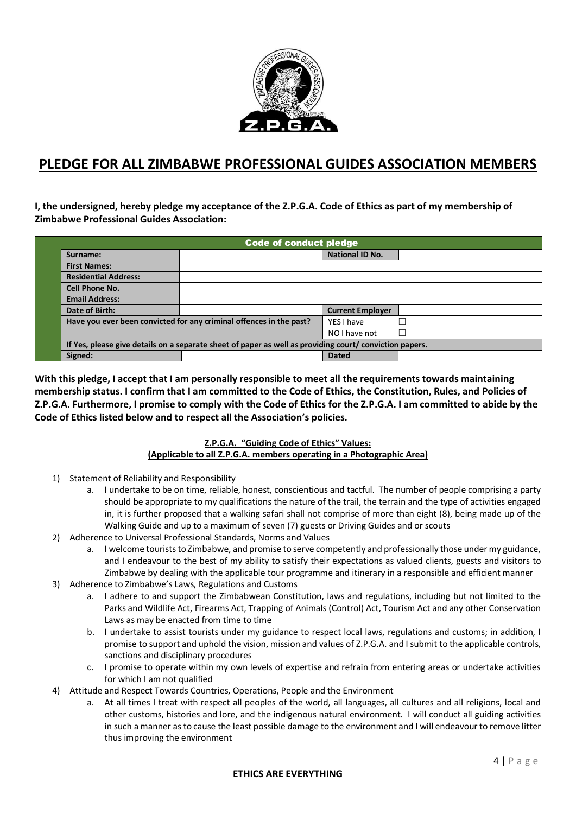

## **PLEDGE FOR ALL ZIMBABWE PROFESSIONAL GUIDES ASSOCIATION MEMBERS**

**I, the undersigned, hereby pledge my acceptance of the Z.P.G.A. Code of Ethics as part of my membership of Zimbabwe Professional Guides Association:** 

| <b>Code of conduct pledge</b>                                                                           |                                                                     |                         |   |  |
|---------------------------------------------------------------------------------------------------------|---------------------------------------------------------------------|-------------------------|---|--|
| Surname:                                                                                                |                                                                     | <b>National ID No.</b>  |   |  |
| <b>First Names:</b>                                                                                     |                                                                     |                         |   |  |
| <b>Residential Address:</b>                                                                             |                                                                     |                         |   |  |
| <b>Cell Phone No.</b>                                                                                   |                                                                     |                         |   |  |
| <b>Email Address:</b>                                                                                   |                                                                     |                         |   |  |
| Date of Birth:                                                                                          |                                                                     | <b>Current Employer</b> |   |  |
|                                                                                                         | Have you ever been convicted for any criminal offences in the past? | YFS I have              |   |  |
|                                                                                                         |                                                                     | NO I have not           | × |  |
| If Yes, please give details on a separate sheet of paper as well as providing court/ conviction papers. |                                                                     |                         |   |  |
| Signed:                                                                                                 |                                                                     | <b>Dated</b>            |   |  |

**With this pledge, I accept that I am personally responsible to meet all the requirements towards maintaining membership status. I confirm that I am committed to the Code of Ethics, the Constitution, Rules, and Policies of Z.P.G.A. Furthermore, I promise to comply with the Code of Ethics for the Z.P.G.A. I am committed to abide by the Code of Ethics listed below and to respect all the Association's policies.** 

## **Z.P.G.A. "Guiding Code of Ethics" Values: (Applicable to all Z.P.G.A. members operating in a Photographic Area)**

- 1) Statement of Reliability and Responsibility
	- a. I undertake to be on time, reliable, honest, conscientious and tactful. The number of people comprising a party should be appropriate to my qualifications the nature of the trail, the terrain and the type of activities engaged in, it is further proposed that a walking safari shall not comprise of more than eight (8), being made up of the Walking Guide and up to a maximum of seven (7) guests or Driving Guides and or scouts
- 2) Adherence to Universal Professional Standards, Norms and Values
	- a. I welcome tourists to Zimbabwe, and promise to serve competently and professionally those under my guidance, and I endeavour to the best of my ability to satisfy their expectations as valued clients, guests and visitors to Zimbabwe by dealing with the applicable tour programme and itinerary in a responsible and efficient manner
- 3) Adherence to Zimbabwe's Laws, Regulations and Customs
	- a. I adhere to and support the Zimbabwean Constitution, laws and regulations, including but not limited to the Parks and Wildlife Act, Firearms Act, Trapping of Animals (Control) Act, Tourism Act and any other Conservation Laws as may be enacted from time to time
	- b. I undertake to assist tourists under my guidance to respect local laws, regulations and customs; in addition, I promise to support and uphold the vision, mission and values of Z.P.G.A. and I submit to the applicable controls, sanctions and disciplinary procedures
	- c. I promise to operate within my own levels of expertise and refrain from entering areas or undertake activities for which I am not qualified
- 4) Attitude and Respect Towards Countries, Operations, People and the Environment
	- a. At all times I treat with respect all peoples of the world, all languages, all cultures and all religions, local and other customs, histories and lore, and the indigenous natural environment. I will conduct all guiding activities in such a manner as to cause the least possible damage to the environment and I will endeavour to remove litter thus improving the environment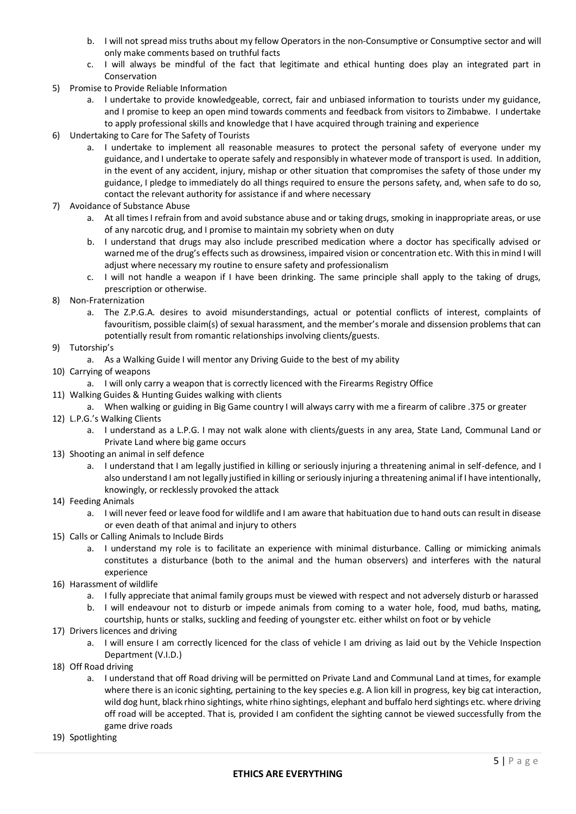- b. I will not spread miss truths about my fellow Operators in the non-Consumptive or Consumptive sector and will only make comments based on truthful facts
- c. I will always be mindful of the fact that legitimate and ethical hunting does play an integrated part in Conservation
- 5) Promise to Provide Reliable Information
	- a. I undertake to provide knowledgeable, correct, fair and unbiased information to tourists under my guidance, and I promise to keep an open mind towards comments and feedback from visitors to Zimbabwe. I undertake to apply professional skills and knowledge that I have acquired through training and experience
- 6) Undertaking to Care for The Safety of Tourists
	- a. I undertake to implement all reasonable measures to protect the personal safety of everyone under my guidance, and I undertake to operate safely and responsibly in whatever mode of transport is used. In addition, in the event of any accident, injury, mishap or other situation that compromises the safety of those under my guidance, I pledge to immediately do all things required to ensure the persons safety, and, when safe to do so, contact the relevant authority for assistance if and where necessary
- 7) Avoidance of Substance Abuse
	- a. At all times I refrain from and avoid substance abuse and or taking drugs, smoking in inappropriate areas, or use of any narcotic drug, and I promise to maintain my sobriety when on duty
	- b. I understand that drugs may also include prescribed medication where a doctor has specifically advised or warned me of the drug's effects such as drowsiness, impaired vision or concentration etc. With this in mind I will adjust where necessary my routine to ensure safety and professionalism
	- c. I will not handle a weapon if I have been drinking. The same principle shall apply to the taking of drugs, prescription or otherwise.
- 8) Non-Fraternization
	- a. The Z.P.G.A. desires to avoid misunderstandings, actual or potential conflicts of interest, complaints of favouritism, possible claim(s) of sexual harassment, and the member's morale and dissension problems that can potentially result from romantic relationships involving clients/guests.
- 9) Tutorship's
	- a. As a Walking Guide I will mentor any Driving Guide to the best of my ability
- 10) Carrying of weapons
	- a. I will only carry a weapon that is correctly licenced with the Firearms Registry Office
- 11) Walking Guides & Hunting Guides walking with clients
	- a. When walking or guiding in Big Game country I will always carry with me a firearm of calibre .375 or greater
- 12) L.P.G.'s Walking Clients
	- a. I understand as a L.P.G. I may not walk alone with clients/guests in any area, State Land, Communal Land or Private Land where big game occurs
- 13) Shooting an animal in self defence
	- a. I understand that I am legally justified in killing or seriously injuring a threatening animal in self-defence, and I also understand I am not legally justified in killing or seriously injuring a threatening animal if I have intentionally, knowingly, or recklessly provoked the attack
- 14) Feeding Animals
	- a. I will never feed or leave food for wildlife and I am aware that habituation due to hand outs can result in disease or even death of that animal and injury to others
- 15) Calls or Calling Animals to Include Birds
	- a. I understand my role is to facilitate an experience with minimal disturbance. Calling or mimicking animals constitutes a disturbance (both to the animal and the human observers) and interferes with the natural experience
- 16) Harassment of wildlife
	- a. I fully appreciate that animal family groups must be viewed with respect and not adversely disturb or harassed
	- b. I will endeavour not to disturb or impede animals from coming to a water hole, food, mud baths, mating, courtship, hunts or stalks, suckling and feeding of youngster etc. either whilst on foot or by vehicle
- 17) Drivers licences and driving
	- a. I will ensure I am correctly licenced for the class of vehicle I am driving as laid out by the Vehicle Inspection Department (V.I.D.)
- 18) Off Road driving
	- a. I understand that off Road driving will be permitted on Private Land and Communal Land at times, for example where there is an iconic sighting, pertaining to the key species e.g. A lion kill in progress, key big cat interaction, wild dog hunt, black rhino sightings, white rhino sightings, elephant and buffalo herd sightings etc. where driving off road will be accepted. That is, provided I am confident the sighting cannot be viewed successfully from the game drive roads
- 19) Spotlighting